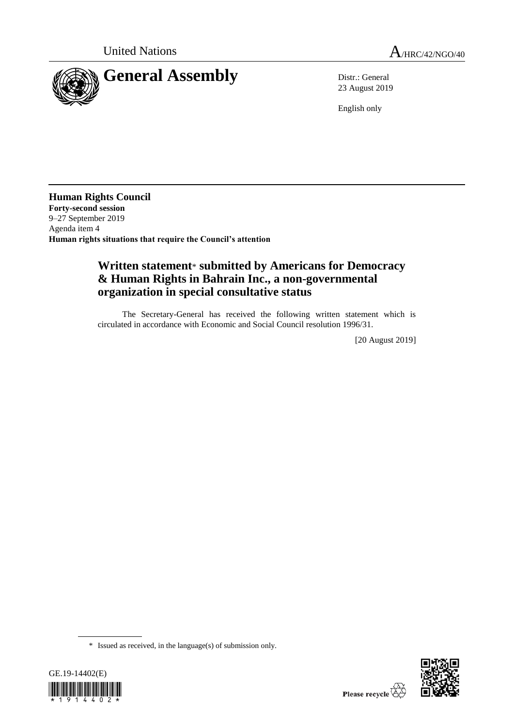



23 August 2019

English only

**Human Rights Council Forty-second session** 9–27 September 2019 Agenda item 4 **Human rights situations that require the Council's attention**

# **Written statement**\* **submitted by Americans for Democracy & Human Rights in Bahrain Inc., a non-governmental organization in special consultative status**

The Secretary-General has received the following written statement which is circulated in accordance with Economic and Social Council resolution 1996/31.

[20 August 2019]

<sup>\*</sup> Issued as received, in the language(s) of submission only.



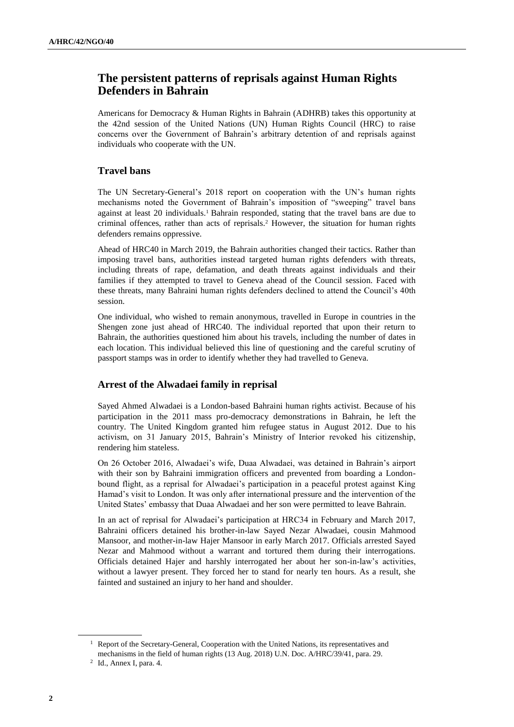## **The persistent patterns of reprisals against Human Rights Defenders in Bahrain**

Americans for Democracy & Human Rights in Bahrain (ADHRB) takes this opportunity at the 42nd session of the United Nations (UN) Human Rights Council (HRC) to raise concerns over the Government of Bahrain's arbitrary detention of and reprisals against individuals who cooperate with the UN.

### **Travel bans**

The UN Secretary-General's 2018 report on cooperation with the UN's human rights mechanisms noted the Government of Bahrain's imposition of "sweeping" travel bans against at least 20 individuals.<sup>1</sup> Bahrain responded, stating that the travel bans are due to criminal offences, rather than acts of reprisals.<sup>2</sup> However, the situation for human rights defenders remains oppressive.

Ahead of HRC40 in March 2019, the Bahrain authorities changed their tactics. Rather than imposing travel bans, authorities instead targeted human rights defenders with threats, including threats of rape, defamation, and death threats against individuals and their families if they attempted to travel to Geneva ahead of the Council session. Faced with these threats, many Bahraini human rights defenders declined to attend the Council's 40th session.

One individual, who wished to remain anonymous, travelled in Europe in countries in the Shengen zone just ahead of HRC40. The individual reported that upon their return to Bahrain, the authorities questioned him about his travels, including the number of dates in each location. This individual believed this line of questioning and the careful scrutiny of passport stamps was in order to identify whether they had travelled to Geneva.

### **Arrest of the Alwadaei family in reprisal**

Sayed Ahmed Alwadaei is a London-based Bahraini human rights activist. Because of his participation in the 2011 mass pro-democracy demonstrations in Bahrain, he left the country. The United Kingdom granted him refugee status in August 2012. Due to his activism, on 31 January 2015, Bahrain's Ministry of Interior revoked his citizenship, rendering him stateless.

On 26 October 2016, Alwadaei's wife, Duaa Alwadaei, was detained in Bahrain's airport with their son by Bahraini immigration officers and prevented from boarding a Londonbound flight, as a reprisal for Alwadaei's participation in a peaceful protest against King Hamad's visit to London. It was only after international pressure and the intervention of the United States' embassy that Duaa Alwadaei and her son were permitted to leave Bahrain.

In an act of reprisal for Alwadaei's participation at HRC34 in February and March 2017, Bahraini officers detained his brother-in-law Sayed Nezar Alwadaei, cousin Mahmood Mansoor, and mother-in-law Hajer Mansoor in early March 2017. Officials arrested Sayed Nezar and Mahmood without a warrant and tortured them during their interrogations. Officials detained Hajer and harshly interrogated her about her son-in-law's activities, without a lawyer present. They forced her to stand for nearly ten hours. As a result, she fainted and sustained an injury to her hand and shoulder.

<sup>&</sup>lt;sup>1</sup> Report of the Secretary-General, Cooperation with the United Nations, its representatives and mechanisms in the field of human rights (13 Aug. 2018) U.N. Doc. A/HRC/39/41, para. 29.

 $<sup>2</sup>$  Id., Annex I, para. 4.</sup>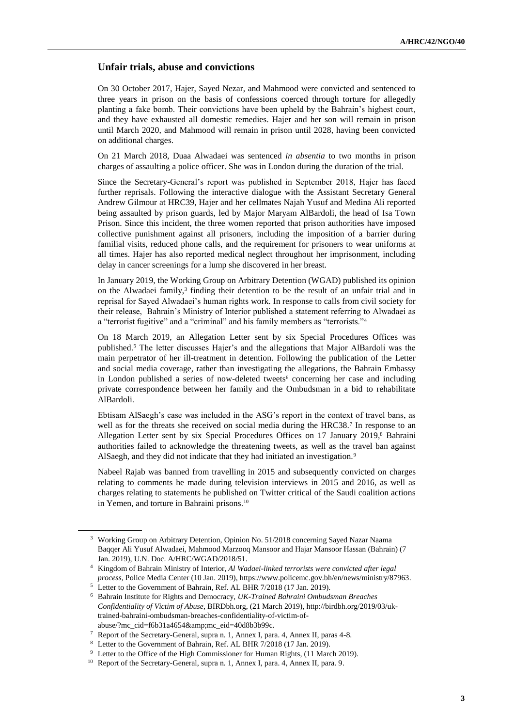#### **Unfair trials, abuse and convictions**

On 30 October 2017, Hajer, Sayed Nezar, and Mahmood were convicted and sentenced to three years in prison on the basis of confessions coerced through torture for allegedly planting a fake bomb. Their convictions have been upheld by the Bahrain's highest court, and they have exhausted all domestic remedies. Hajer and her son will remain in prison until March 2020, and Mahmood will remain in prison until 2028, having been convicted on additional charges.

On 21 March 2018, Duaa Alwadaei was sentenced *in absentia* to two months in prison charges of assaulting a police officer. She was in London during the duration of the trial.

Since the Secretary-General's report was published in September 2018, Hajer has faced further reprisals. Following the interactive dialogue with the Assistant Secretary General Andrew Gilmour at HRC39, Hajer and her cellmates Najah Yusuf and Medina Ali reported being assaulted by prison guards, led by Major Maryam AlBardoli, the head of Isa Town Prison. Since this incident, the three women reported that prison authorities have imposed collective punishment against all prisoners, including the imposition of a barrier during familial visits, reduced phone calls, and the requirement for prisoners to wear uniforms at all times. Hajer has also reported medical neglect throughout her imprisonment, including delay in cancer screenings for a lump she discovered in her breast.

In January 2019, the Working Group on Arbitrary Detention (WGAD) published its opinion on the Alwadaei family,<sup>3</sup> finding their detention to be the result of an unfair trial and in reprisal for Sayed Alwadaei's human rights work. In response to calls from civil society for their release, Bahrain's Ministry of Interior published a statement referring to Alwadaei as a "terrorist fugitive" and a "criminal" and his family members as "terrorists."<sup>4</sup>

On 18 March 2019, an Allegation Letter sent by six Special Procedures Offices was published.<sup>5</sup> The letter discusses Hajer's and the allegations that Major AlBardoli was the main perpetrator of her ill-treatment in detention. Following the publication of the Letter and social media coverage, rather than investigating the allegations, the Bahrain Embassy in London published a series of now-deleted tweets<sup>6</sup> concerning her case and including private correspondence between her family and the Ombudsman in a bid to rehabilitate AlBardoli.

Ebtisam AlSaegh's case was included in the ASG's report in the context of travel bans, as well as for the threats she received on social media during the HRC38.<sup>7</sup> In response to an Allegation Letter sent by six Special Procedures Offices on 17 January 2019,<sup>8</sup> Bahraini authorities failed to acknowledge the threatening tweets, as well as the travel ban against AlSaegh, and they did not indicate that they had initiated an investigation.<sup>9</sup>

Nabeel Rajab was banned from travelling in 2015 and subsequently convicted on charges relating to comments he made during television interviews in 2015 and 2016, as well as charges relating to statements he published on Twitter critical of the Saudi coalition actions in Yemen, and torture in Bahraini prisons.<sup>10</sup>

<sup>3</sup> Working Group on Arbitrary Detention, Opinion No. 51/2018 concerning Sayed Nazar Naama Baqqer Ali Yusuf Alwadaei, Mahmood Marzooq Mansoor and Hajar Mansoor Hassan (Bahrain) (7 Jan. 2019), U.N. Doc. A/HRC/WGAD/2018/51.

<sup>4</sup> Kingdom of Bahrain Ministry of Interior, *Al Wadaei-linked terrorists were convicted after legal process*, Police Media Center (10 Jan. 2019), [https://www.policemc.gov.bh/en/news/ministry/87963.](https://www.policemc.gov.bh/en/news/ministry/87963)

<sup>5</sup> Letter to the Government of Bahrain, Ref. AL BHR 7/2018 (17 Jan. 2019).

<sup>6</sup> Bahrain Institute for Rights and Democracy, *UK-Trained Bahraini Ombudsman Breaches Confidentiality of Victim of Abuse*, BIRDbh.org, (21 March 2019), [http://birdbh.org/2019/03/uk](http://birdbh.org/2019/03/uk-trained-bahraini-ombudsman-breaches-confidentiality-of-victim-of-abuse/?mc_cid=f6b31a4654&mc_eid=40d8b3b99c)[trained-bahraini-ombudsman-breaches-confidentiality-of-victim-of](http://birdbh.org/2019/03/uk-trained-bahraini-ombudsman-breaches-confidentiality-of-victim-of-abuse/?mc_cid=f6b31a4654&mc_eid=40d8b3b99c)[abuse/?mc\\_cid=f6b31a4654&mc\\_eid=40d8b3b99c.](http://birdbh.org/2019/03/uk-trained-bahraini-ombudsman-breaches-confidentiality-of-victim-of-abuse/?mc_cid=f6b31a4654&mc_eid=40d8b3b99c)

<sup>7</sup> Report of the Secretary-General, supra n. 1, Annex I, para. 4, Annex II, paras 4-8.

<sup>8</sup> Letter to the Government of Bahrain, Ref. AL BHR 7/2018 (17 Jan. 2019).

<sup>&</sup>lt;sup>9</sup> Letter to the Office of the High Commissioner for Human Rights, (11 March 2019).

<sup>10</sup> Report of the Secretary-General, supra n. 1, Annex I, para. 4, Annex II, para. 9.